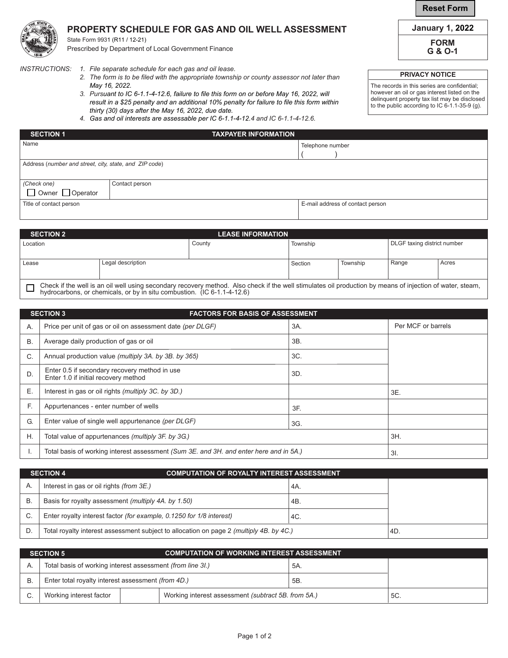## **PROPERTY SCHEDULE FOR GAS AND OIL WELL ASSESSMENT**

State Form 9931 (R11 / 12-21) Prescribed by Department of Local Government Finance

*INSTRUCTIONS: 1. File separate schedule for each gas and oil lease.*

- *2. The form is to be filed with the appropriate township or county assessor not later than May 16, 2022.*
- *3. Pursuant to IC 6-1.1-4-12.6, failure to file this form on or before May 16, 2022, will result in a \$25 penalty and an additional 10% penalty for failure to file this form within thirty (30) days after the May 16, 2022, due date.*
- *4. Gas and oil interests are assessable per IC 6-1.1-4-12.4 and IC 6-1.1-4-12.6.*

| <b>January 1, 2022</b> |  |
|------------------------|--|
| <b>FORM</b>            |  |

**FORM**

**G & O-1**

## **PRIVACY NOTICE**

The records in this series are confidential; however an oil or gas interest listed on the delinquent property tax list may be disclosed to the public according to IC 6-1.1-35-9 (g).

| <b>SECTION 1</b>                                       |                | <b>TAXPAYER INFORMATION</b> |                                  |
|--------------------------------------------------------|----------------|-----------------------------|----------------------------------|
| Name                                                   |                |                             | Telephone number                 |
|                                                        |                |                             |                                  |
| Address (number and street, city, state, and ZIP code) |                |                             |                                  |
|                                                        |                |                             |                                  |
| (Check one)                                            | Contact person |                             |                                  |
| $\Box$ Owner $\Box$ Operator                           |                |                             |                                  |
| Title of contact person                                |                |                             | E-mail address of contact person |

| <b>SECTION 2</b>                                                                                                                                                                                                                     |                   | <b>LEASE INFORMATION</b> |          |          |                                    |       |
|--------------------------------------------------------------------------------------------------------------------------------------------------------------------------------------------------------------------------------------|-------------------|--------------------------|----------|----------|------------------------------------|-------|
| Location                                                                                                                                                                                                                             |                   | County                   | Township |          | <b>DLGF</b> taxing district number |       |
|                                                                                                                                                                                                                                      |                   |                          |          |          |                                    |       |
| Lease                                                                                                                                                                                                                                | Legal description |                          | Section  | Township | Range                              | Acres |
|                                                                                                                                                                                                                                      |                   |                          |          |          |                                    |       |
| Check if the well is an oil well using secondary recovery method. Also check if the well stimulates oil production by means of injection of water, steam,<br>hydrocarbons, or chemicals, or by in situ combustion. (IC 6-1.1-4-12.6) |                   |                          |          |          |                                    |       |

|           | <b>SECTION 3</b><br><b>FACTORS FOR BASIS OF ASSESSMENT</b>                             |     |                    |  |  |  |
|-----------|----------------------------------------------------------------------------------------|-----|--------------------|--|--|--|
| Α.        | Price per unit of gas or oil on assessment date (per DLGF)                             | 3A. | Per MCF or barrels |  |  |  |
| <b>B.</b> | Average daily production of gas or oil                                                 | 3B. |                    |  |  |  |
| C.        | Annual production value (multiply 3A. by 3B. by 365)                                   | 3C. |                    |  |  |  |
| D.        | Enter 0.5 if secondary recovery method in use<br>Enter 1.0 if initial recovery method  | 3D. |                    |  |  |  |
| Е.        | Interest in gas or oil rights (multiply 3C. by 3D.)                                    |     | 3E.                |  |  |  |
| E.        | Appurtenances - enter number of wells<br>3F.                                           |     |                    |  |  |  |
| G.        | Enter value of single well appurtenance (per DLGF)<br>3G.                              |     |                    |  |  |  |
| Η.        | Total value of appurtenances (multiply 3F. by 3G.)<br>3H.                              |     |                    |  |  |  |
|           | Total basis of working interest assessment (Sum 3E, and 3H, and enter here and in 5A.) | 3I. |                    |  |  |  |

|              | <b>SECTION 4</b><br><b>COMPUTATION OF ROYALTY INTEREST ASSESSMENT</b>                   |       |  |  |  |
|--------------|-----------------------------------------------------------------------------------------|-------|--|--|--|
| $\mathsf{A}$ | Interest in gas or oil rights <i>(from 3E.)</i>                                         | ' 4A. |  |  |  |
| В            | Basis for royalty assessment (multiply 4A, by 1.50)<br>4B.                              |       |  |  |  |
|              | Enter royalty interest factor (for example, 0.1250 for 1/8 interest)<br>4C.             |       |  |  |  |
|              | Total royalty interest assessment subject to allocation on page 2 (multiply 4B. by 4C.) | 4D.   |  |  |  |

|    | COMPUTATION OF WORKING INTEREST ASSESSMENT<br><b>SECTION 5</b>                 |  |     |     |  |  |
|----|--------------------------------------------------------------------------------|--|-----|-----|--|--|
|    | Total basis of working interest assessment (from line 3l.)                     |  |     | 5A. |  |  |
| B. | Enter total royalty interest assessment (from 4D.)                             |  |     | 5B. |  |  |
|    | Working interest assessment (subtract 5B, from 5A.)<br>Working interest factor |  | 5C. |     |  |  |